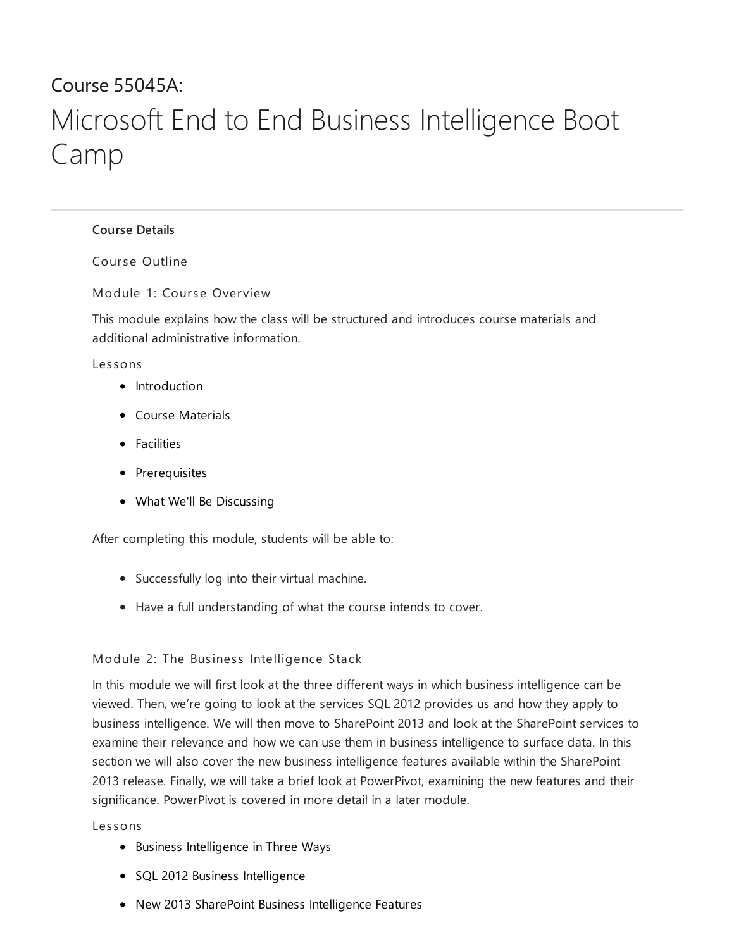# Course 55045A: Microsoft End to End Business Intelligence Boot Camp

# [Course](#page-0-0) Details

<span id="page-0-0"></span>Course Outline

Module 1: Cour se Overview

This module explains how the class will be structured and introduces course materials and additional administrative information.

Les sons

- Introduction
- Course Materials
- **•** Facilities
- Prerequisites
- What We'll Be Discussing

After completing this module, students will be able to:

- Successfully log into their virtual machine.
- Have a full understanding of what the course intends to cover.

# Module 2: The Business Intelligence Stack

In this module we will first look at the three different ways in which business intelligence can be viewed. Then, we're going to look at the services SQL 2012 provides us and how they apply to business intelligence. We will then move to SharePoint 2013 and look at the SharePoint services to examine their relevance and how we can use them in business intelligence to surface data. In this section we will also cover the new business intelligence features available within the SharePoint 2013 release. Finally, we will take a brief look at PowerPivot, examining the new features and their significance. PowerPivot is covered in more detail in a later module.

#### Les sons

- Business Intelligence in Three Ways
- SQL 2012 Business Intelligence
- New 2013 SharePoint Business Intelligence Features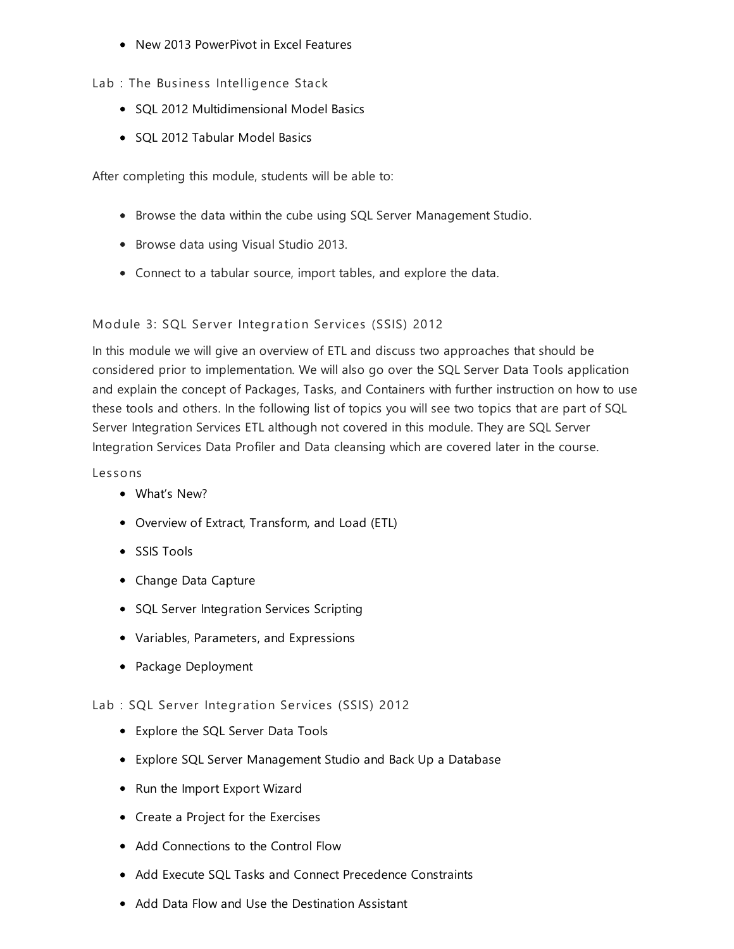New 2013 PowerPivot in Excel Features

Lab : The Business Intelligence Stack

- SQL 2012 Multidimensional Model Basics
- SQL 2012 Tabular Model Basics

After completing this module, students will be able to:

- Browse the data within the cube using SQL Server Management Studio.
- Browse data using Visual Studio 2013.
- Connect to a tabular source, import tables, and explore the data.

# Module 3: SQL Server Integration Services (SSIS) 2012

In this module we will give an overview of ETL and discuss two approaches that should be considered prior to implementation. We will also go over the SQL Server Data Tools application and explain the concept of Packages, Tasks, and Containers with further instruction on how to use these tools and others. In the following list of topics you will see two topics that are part of SQL Server Integration Services ETL although not covered in this module. They are SQL Server Integration Services Data Profiler and Data cleansing which are covered later in the course.

## Les sons

- What's New?
- Overview of Extract, Transform, and Load (ETL)
- SSIS Tools
- Change Data Capture
- SQL Server Integration Services Scripting
- Variables, Parameters, and Expressions
- Package Deployment

# Lab : SQL Server Integration Services (SSIS) 2012

- Explore the SQL Server Data Tools
- Explore SQL Server Management Studio and Back Up a Database
- Run the Import Export Wizard
- Create a Project for the Exercises
- Add Connections to the Control Flow
- Add Execute SQL Tasks and Connect Precedence Constraints
- Add Data Flow and Use the Destination Assistant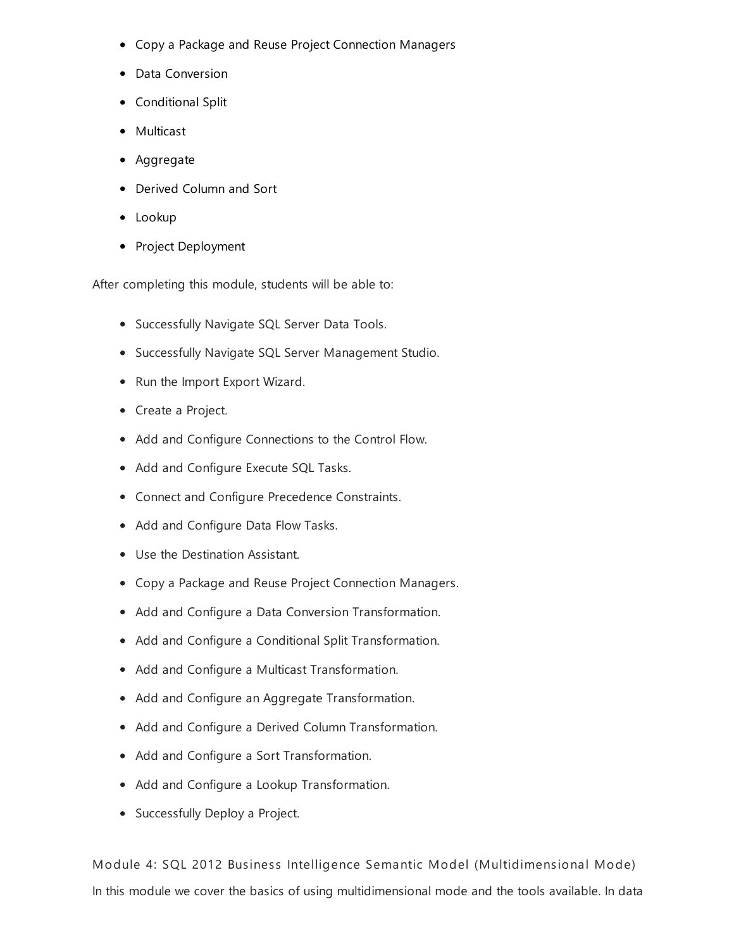- Copy a Package and Reuse Project Connection Managers
- Data Conversion
- Conditional Split
- Multicast
- Aggregate
- Derived Column and Sort
- Lookup
- Project Deployment

After completing this module, students will be able to:

- **•** Successfully Navigate SQL Server Data Tools.
- Successfully Navigate SQL Server Management Studio.
- Run the Import Export Wizard.
- Create a Project.
- Add and Configure Connections to the Control Flow.
- Add and Configure Execute SQL Tasks.
- Connect and Configure Precedence Constraints.
- Add and Configure Data Flow Tasks.
- Use the Destination Assistant.
- Copy a Package and Reuse Project Connection Managers.
- Add and Configure a Data Conversion Transformation.
- Add and Configure a Conditional Split Transformation.
- Add and Configure a Multicast Transformation.
- Add and Configure an Aggregate Transformation.
- Add and Configure a Derived Column Transformation.
- Add and Configure a Sort Transformation.
- Add and Configure a Lookup Transformation.
- Successfully Deploy a Project.

Module 4: SQL 2012 Business Intelligence Semantic Model (Multidimensional Mode) In this module we cover the basics of using multidimensional mode and the tools available. In data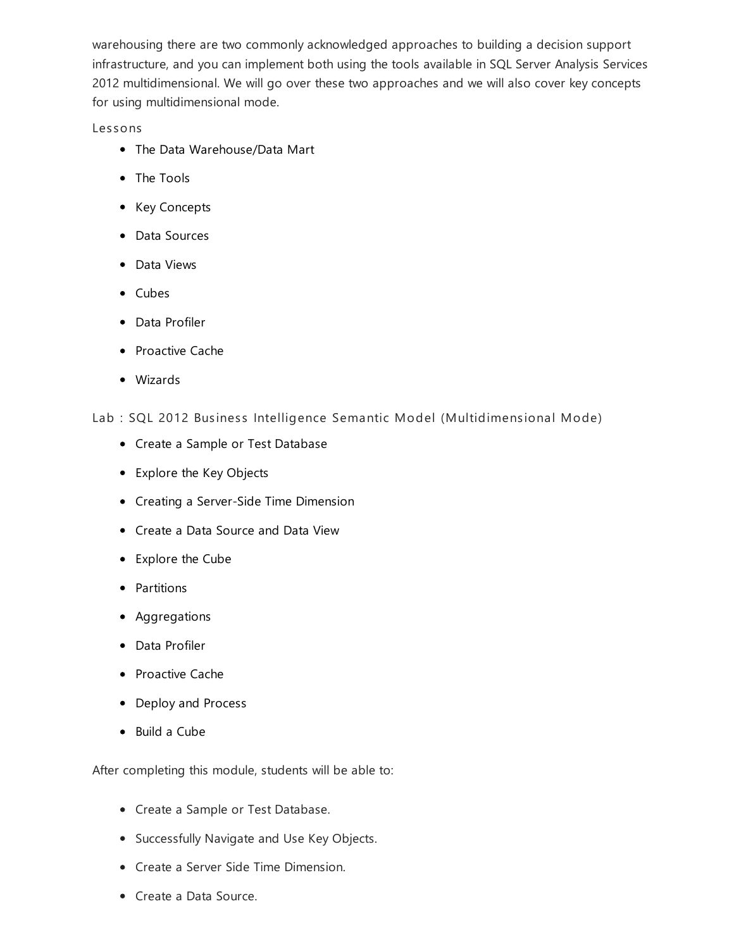warehousing there are two commonly acknowledged approaches to building a decision support infrastructure, and you can implement both using the tools available in SQL Server Analysis Services 2012 multidimensional. We will go over these two approaches and we will also cover key concepts for using multidimensional mode.

# Les sons

- The Data Warehouse/Data Mart
- The Tools
- Key Concepts
- Data Sources
- Data Views
- Cubes
- Data Profiler
- Proactive Cache
- Wizards

Lab : SQL 2012 Business Intelligence Semantic Model (Multidimensional Mode)

- Create a Sample or Test Database
- Explore the Key Objects
- Creating a Server-Side Time Dimension
- Create a Data Source and Data View
- Explore the Cube
- Partitions
- Aggregations
- Data Profiler
- Proactive Cache
- Deploy and Process
- Build a Cube

- Create a Sample or Test Database.
- Successfully Navigate and Use Key Objects.
- Create a Server Side Time Dimension.
- Create a Data Source.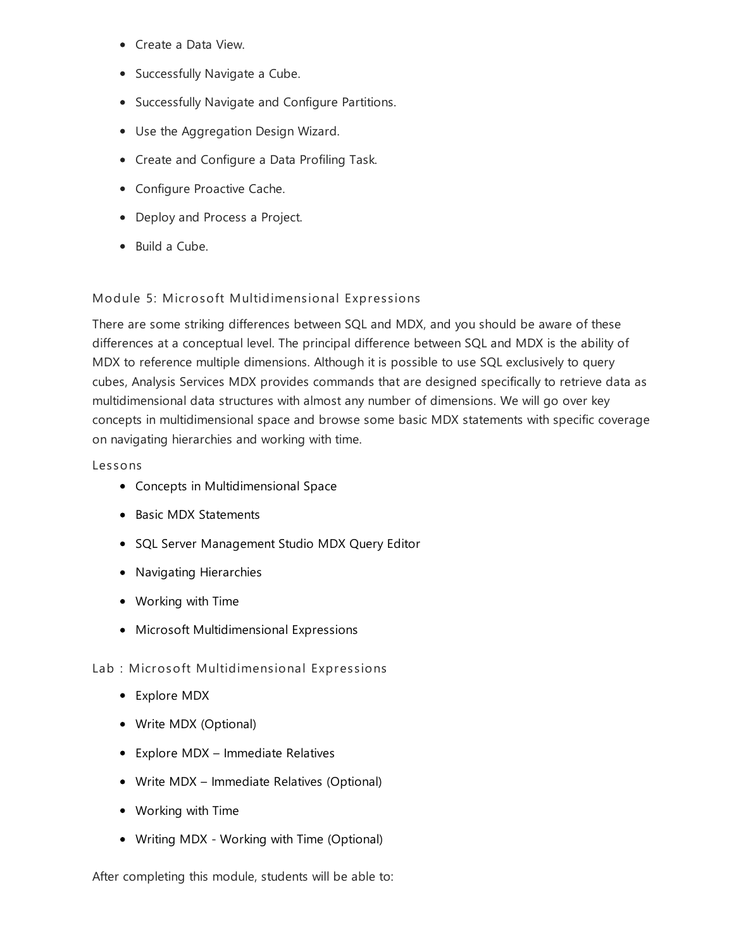- Create a Data View.
- Successfully Navigate a Cube.
- **•** Successfully Navigate and Configure Partitions.
- Use the Aggregation Design Wizard.
- Create and Configure a Data Profiling Task.
- Configure Proactive Cache.
- Deploy and Process a Project.
- Build a Cube.

## Module 5: Microsoft Multidimensional Expressions

There are some striking differences between SQL and MDX, and you should be aware of these differences at a conceptual level. The principal difference between SQL and MDX is the ability of MDX to reference multiple dimensions. Although it is possible to use SQL exclusively to query cubes, Analysis Services MDX provides commands that are designed specifically to retrieve data as multidimensional data structures with almost any number of dimensions. We will go over key concepts in multidimensional space and browse some basic MDX statements with specific coverage on navigating hierarchies and working with time.

## Les sons

- Concepts in Multidimensional Space
- Basic MDX Statements
- SQL Server Management Studio MDX Query Editor
- Navigating Hierarchies
- Working with Time
- Microsoft Multidimensional Expressions

Lab : Microsoft Multidimensional Expressions

- Explore MDX
- Write MDX (Optional)
- Explore MDX Immediate Relatives
- Write MDX Immediate Relatives (Optional)
- Working with Time
- Writing MDX Working with Time (Optional)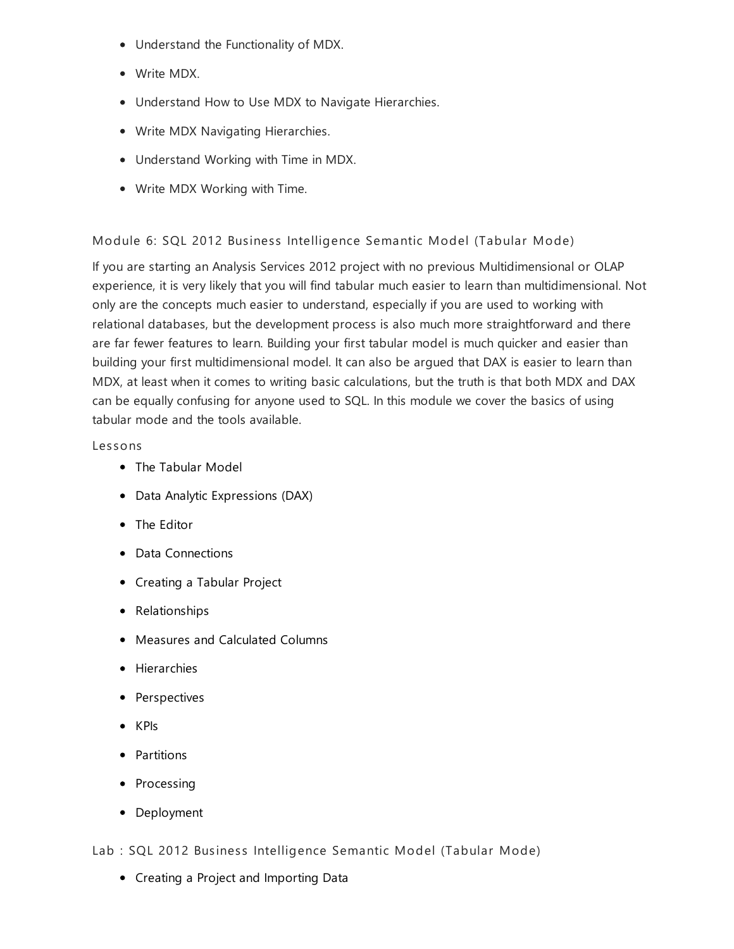- Understand the Functionality of MDX.
- Write MDX.
- Understand How to Use MDX to Navigate Hierarchies.
- Write MDX Navigating Hierarchies.
- Understand Working with Time in MDX.
- Write MDX Working with Time.

# Module 6: SQL 2012 Business Intelligence Semantic Model (Tabular Mode)

If you are starting an Analysis Services 2012 project with no previous Multidimensional or OLAP experience, it is very likely that you will find tabular much easier to learn than multidimensional. Not only are the concepts much easier to understand, especially if you are used to working with relational databases, but the development process is also much more straightforward and there are far fewer features to learn. Building your first tabular model is much quicker and easier than building your first multidimensional model. It can also be argued that DAX is easier to learn than MDX, at least when it comes to writing basic calculations, but the truth is that both MDX and DAX can be equally confusing for anyone used to SQL. In this module we cover the basics of using tabular mode and the tools available.

# Les sons

- The Tabular Model
- Data Analytic Expressions (DAX)
- The Editor
- Data Connections
- Creating a Tabular Project
- Relationships
- Measures and Calculated Columns
- Hierarchies
- Perspectives
- KPIs
- Partitions
- Processing
- Deployment

Lab : SQL 2012 Business Intelligence Semantic Model (Tabular Mode)

Creating a Project and Importing Data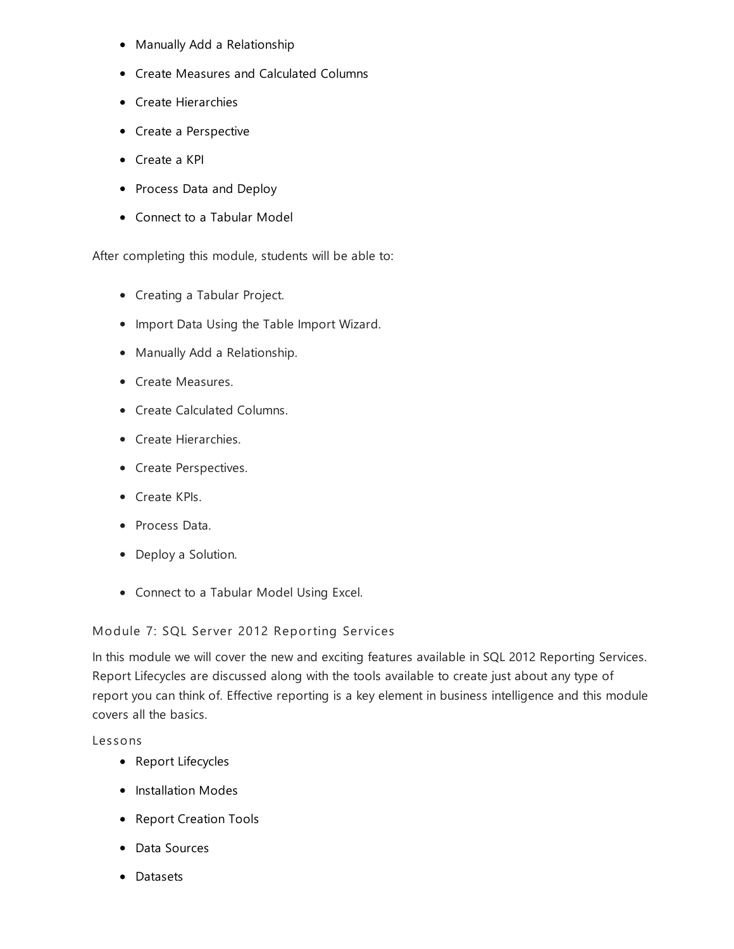- Manually Add a Relationship
- Create Measures and Calculated Columns
- Create Hierarchies
- Create a Perspective
- Create a KPI
- Process Data and Deploy
- Connect to a Tabular Model

After completing this module, students will be able to:

- Creating a Tabular Project.
- Import Data Using the Table Import Wizard.
- Manually Add a Relationship.
- Create Measures.
- Create Calculated Columns.
- Create Hierarchies.
- Create Perspectives.
- Create KPIs.
- Process Data.
- Deploy a Solution.
- Connect to a Tabular Model Using Excel.

Module 7: SQL Server 2012 Reporting Services

In this module we will cover the new and exciting features available in SQL 2012 Reporting Services. Report Lifecycles are discussed along with the tools available to create just about any type of report you can think of. Effective reporting is a key element in business intelligence and this module covers all the basics.

Les sons

- Report Lifecycles
- Installation Modes
- Report Creation Tools
- Data Sources
- Datasets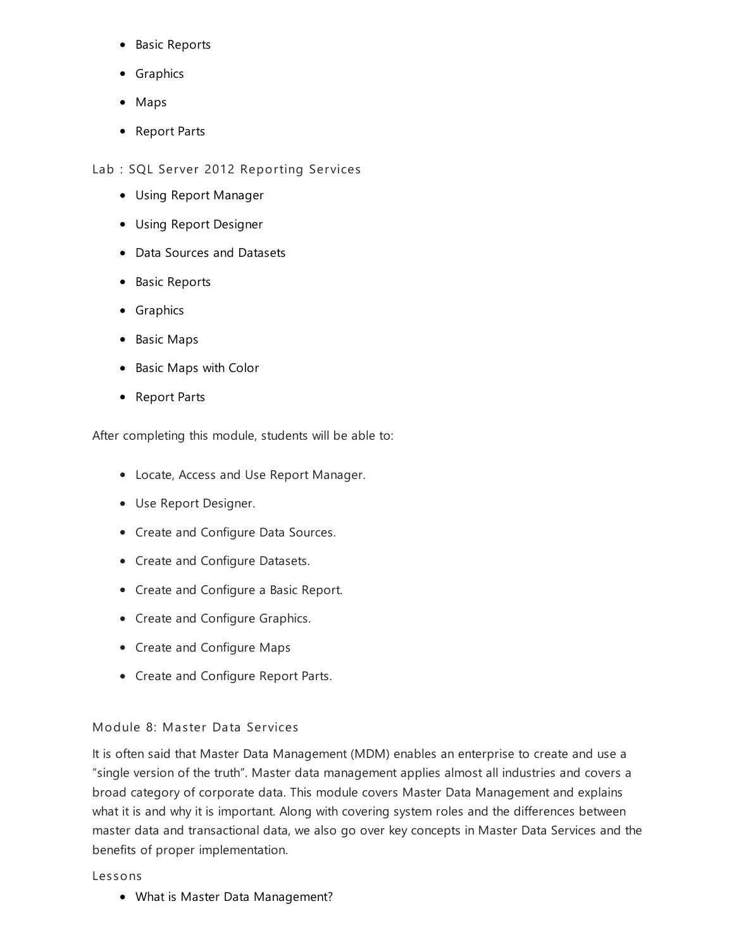- Basic Reports
- Graphics
- Maps
- Report Parts

Lab : SQL Server 2012 Reporting Services

- Using Report Manager
- Using Report Designer
- Data Sources and Datasets
- Basic Reports
- Graphics
- Basic Maps
- Basic Maps with Color
- Report Parts

After completing this module, students will be able to:

- Locate, Access and Use Report Manager.
- Use Report Designer.
- Create and Configure Data Sources.
- Create and Configure Datasets.
- Create and Configure a Basic Report.
- Create and Configure Graphics.
- Create and Configure Maps
- Create and Configure Report Parts.

# Module 8: Master Data Services

It is often said that Master Data Management (MDM) enables an enterprise to create and use a "single version of the truth". Master data management applies almost all industries and covers a broad category of corporate data. This module covers Master Data Management and explains what it is and why it is important. Along with covering system roles and the differences between master data and transactional data, we also go over key concepts in Master Data Services and the benefits of proper implementation.

#### Les sons

What is Master Data Management?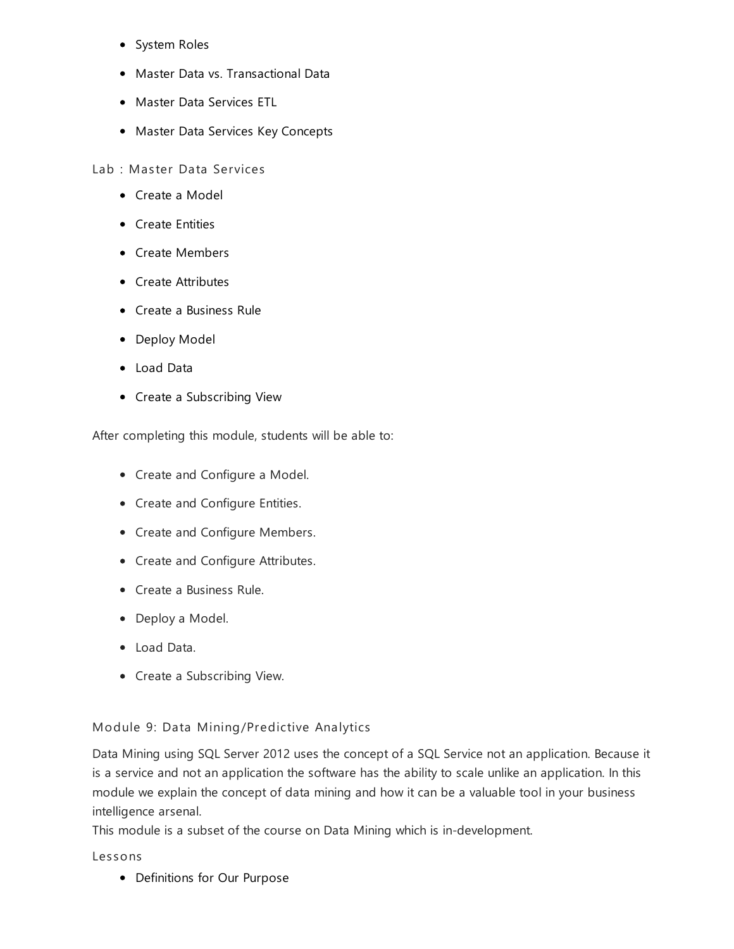- System Roles
- Master Data vs. Transactional Data
- Master Data Services ETL
- Master Data Services Key Concepts

Lab : Master Data Services

- Create a Model
- Create Entities
- Create Members
- Create Attributes
- Create a Business Rule
- Deploy Model
- Load Data
- Create a Subscribing View

After completing this module, students will be able to:

- Create and Configure a Model.
- Create and Configure Entities.
- Create and Configure Members.
- Create and Configure Attributes.
- Create a Business Rule.
- Deploy a Model.
- Load Data.
- Create a Subscribing View.

Module 9: Data Mining/Predictive Analytics

Data Mining using SQL Server 2012 uses the concept of a SQL Service not an application. Because it is a service and not an application the software has the ability to scale unlike an application. In this module we explain the concept of data mining and how it can be a valuable tool in your business intelligence arsenal.

This module is a subset of the course on Data Mining which is in-development.

Les sons

• Definitions for Our Purpose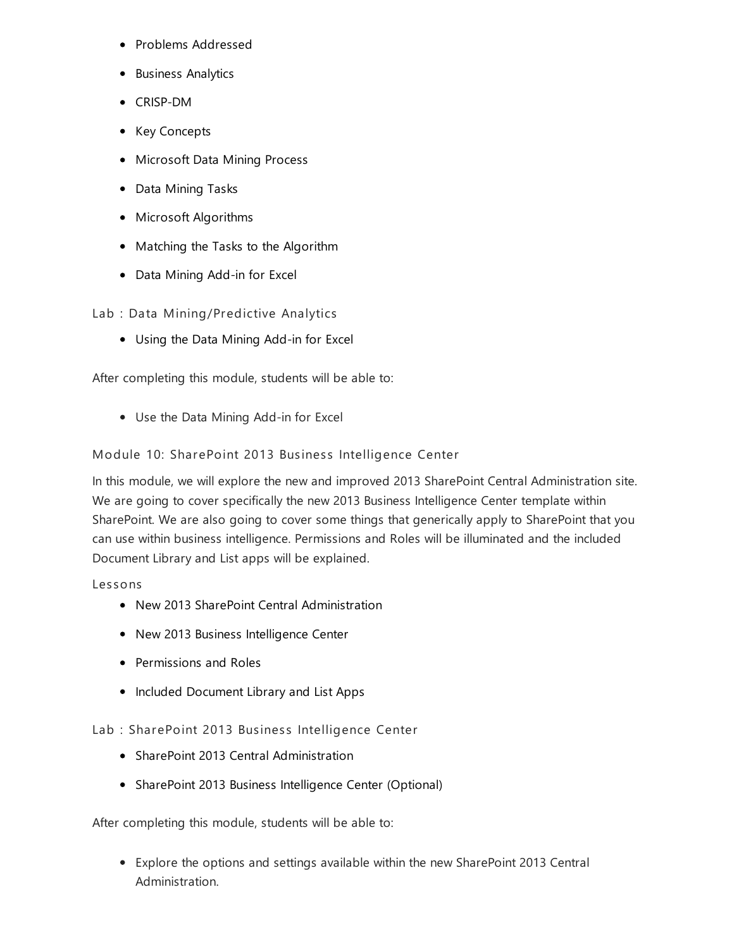- Problems Addressed
- Business Analytics
- CRISP-DM
- Key Concepts
- Microsoft Data Mining Process
- Data Mining Tasks
- Microsoft Algorithms
- Matching the Tasks to the Algorithm
- Data Mining Add-in for Excel

Lab : Data Mining/Predictive Analytics

Using the Data Mining Add-in for Excel

After completing this module, students will be able to:

Use the Data Mining Add-in for Excel

Module 10: SharePoint 2013 Business Intelligence Center

In this module, we will explore the new and improved 2013 SharePoint Central Administration site. We are going to cover specifically the new 2013 Business Intelligence Center template within SharePoint. We are also going to cover some things that generically apply to SharePoint that you can use within business intelligence. Permissions and Roles will be illuminated and the included Document Library and List apps will be explained.

Les sons

- New 2013 SharePoint Central Administration
- New 2013 Business Intelligence Center
- Permissions and Roles
- Included Document Library and List Apps

Lab : SharePoint 2013 Business Intelligence Center

- SharePoint 2013 Central Administration
- SharePoint 2013 Business Intelligence Center (Optional)

After completing this module, students will be able to:

Explore the options and settings available within the new SharePoint 2013 Central Administration.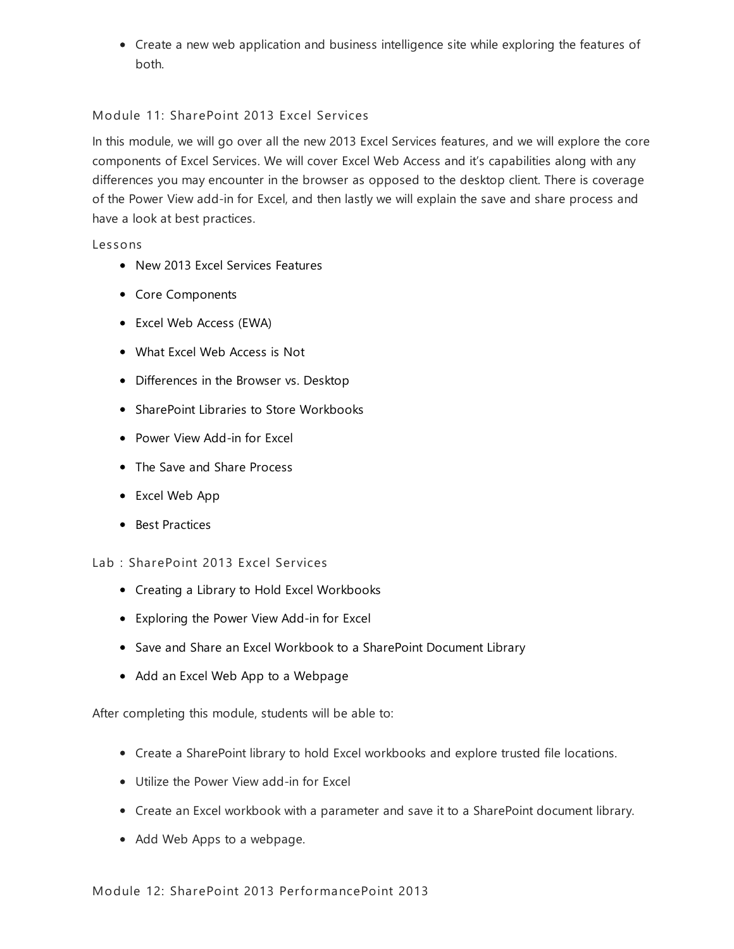Create a new web application and business intelligence site while exploring the features of both.

# Module 11: SharePoint 2013 Excel Services

In this module, we will go over all the new 2013 Excel Services features, and we will explore the core components of Excel Services. We will cover Excel Web Access and it's capabilities along with any differences you may encounter in the browser as opposed to the desktop client. There is coverage of the Power View add-in for Excel, and then lastly we will explain the save and share process and have a look at best practices.

#### Les sons

- New 2013 Excel Services Features
- Core Components
- Excel Web Access (EWA)
- What Excel Web Access is Not
- Differences in the Browser vs. Desktop
- SharePoint Libraries to Store Workbooks
- Power View Add-in for Excel
- The Save and Share Process
- Excel Web App
- Best Practices

#### Lab : SharePoint 2013 Excel Services

- Creating a Library to Hold Excel Workbooks
- Exploring the Power View Add-in for Excel
- Save and Share an Excel Workbook to a SharePoint Document Library
- Add an Excel Web App to a Webpage

- Create a SharePoint library to hold Excel workbooks and explore trusted file locations.
- Utilize the Power View add-in for Excel
- Create an Excel workbook with a parameter and save it to a SharePoint document library.
- Add Web Apps to a webpage.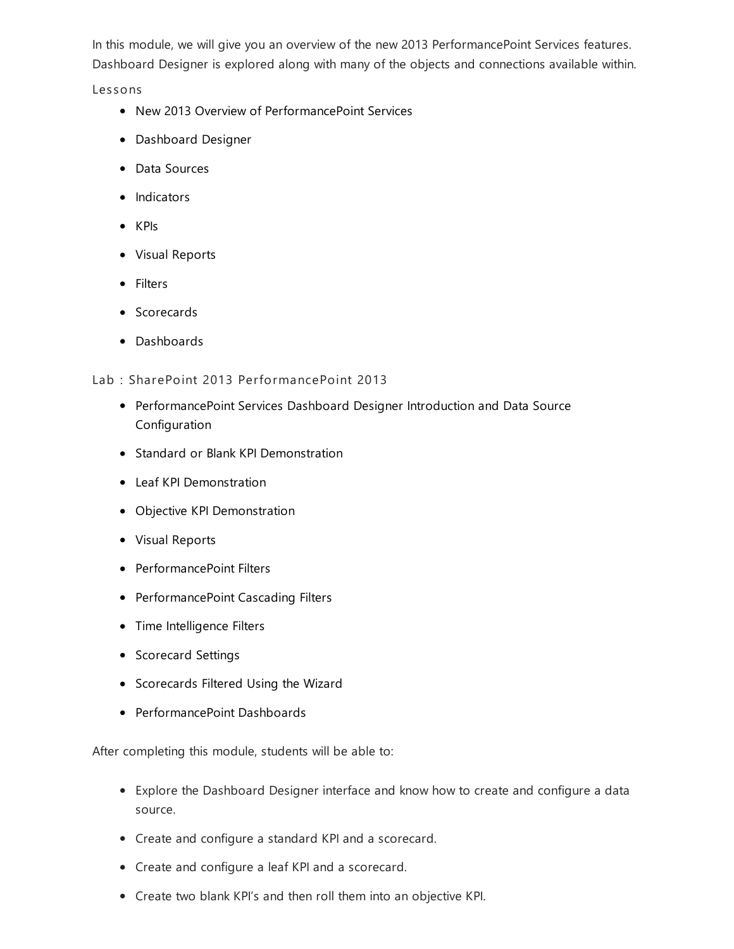In this module, we will give you an overview of the new 2013 PerformancePoint Services features. Dashboard Designer is explored along with many of the objects and connections available within.

Les sons

- New 2013 Overview of PerformancePoint Services
- Dashboard Designer
- Data Sources
- Indicators
- KPIs
- Visual Reports
- Filters
- Scorecards
- Dashboards

## Lab : SharePoint 2013 PerformancePoint 2013

- PerformancePoint Services Dashboard Designer Introduction and Data Source Configuration
- Standard or Blank KPI Demonstration
- Leaf KPI Demonstration
- Objective KPI Demonstration
- Visual Reports
- PerformancePoint Filters
- PerformancePoint Cascading Filters
- Time Intelligence Filters
- Scorecard Settings
- **•** Scorecards Filtered Using the Wizard
- PerformancePoint Dashboards

- Explore the Dashboard Designer interface and know how to create and configure a data source.
- Create and configure a standard KPI and a scorecard.
- Create and configure a leaf KPI and a scorecard.
- Create two blank KPI's and then roll them into an objective KPI.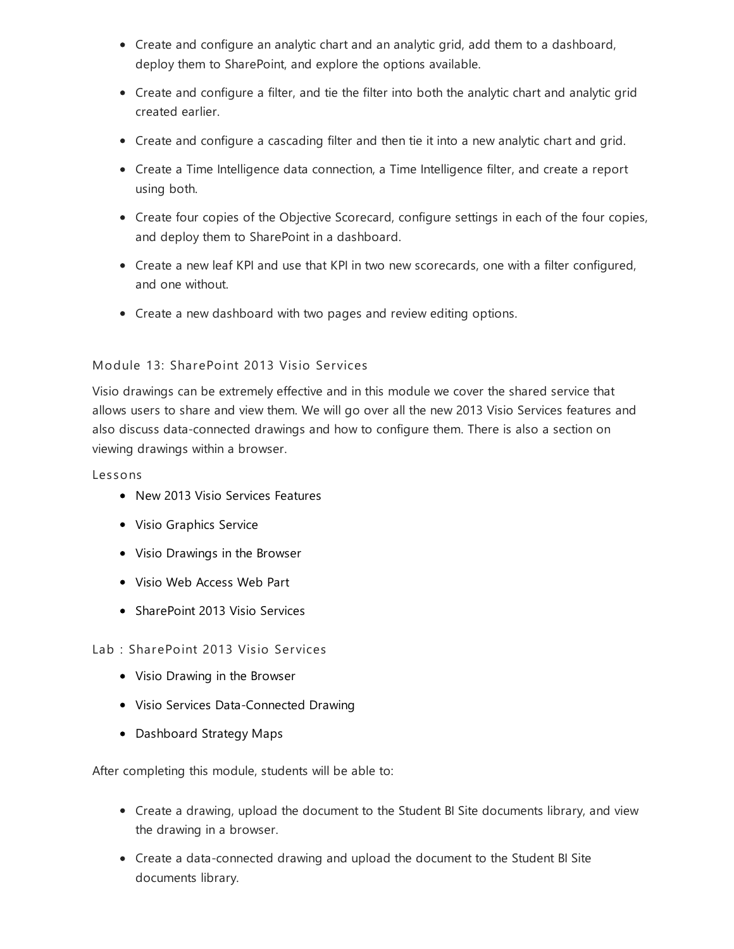- Create and configure an analytic chart and an analytic grid, add them to a dashboard, deploy them to SharePoint, and explore the options available.
- Create and configure a filter, and tie the filter into both the analytic chart and analytic grid created earlier.
- Create and configure a cascading filter and then tie it into a new analytic chart and grid.
- Create a Time Intelligence data connection, a Time Intelligence filter, and create a report using both.
- Create four copies of the Objective Scorecard, configure settings in each of the four copies, and deploy them to SharePoint in a dashboard.
- Create a new leaf KPI and use that KPI in two new scorecards, one with a filter configured, and one without.
- Create a new dashboard with two pages and review editing options.

# Module 13: SharePoint 2013 Visio Services

Visio drawings can be extremely effective and in this module we cover the shared service that allows users to share and view them. We will go over all the new 2013 Visio Services features and also discuss data-connected drawings and how to configure them. There is also a section on viewing drawings within a browser.

## Les sons

- New 2013 Visio Services Features
- Visio Graphics Service
- Visio Drawings in the Browser
- Visio Web Access Web Part
- SharePoint 2013 Visio Services

# Lab : SharePoint 2013 Visio Services

- Visio Drawing in the Browser
- Visio Services Data-Connected Drawing
- Dashboard Strategy Maps

- Create a drawing, upload the document to the Student BI Site documents library, and view the drawing in a browser.
- Create a data-connected drawing and upload the document to the Student BI Site documents library.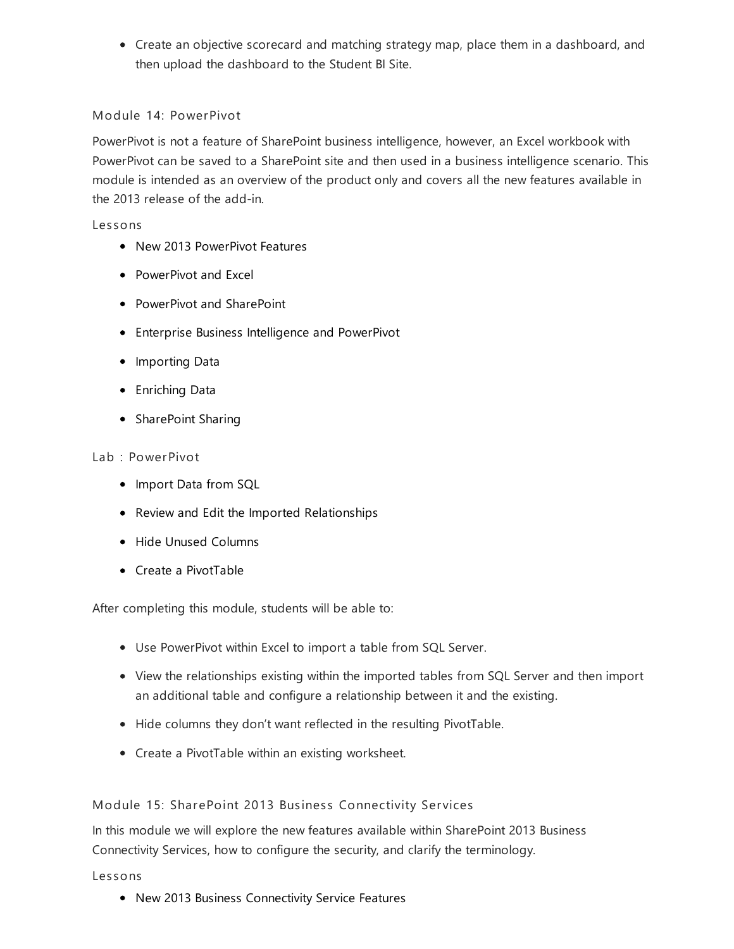Create an objective scorecard and matching strategy map, place them in a dashboard, and then upload the dashboard to the Student BI Site.

# Module 14: PowerPivot

PowerPivot is not a feature of SharePoint business intelligence, however, an Excel workbook with PowerPivot can be saved to a SharePoint site and then used in a business intelligence scenario. This module is intended as an overview of the product only and covers all the new features available in the 2013 release of the add-in.

## Les sons

- New 2013 PowerPivot Features
- PowerPivot and Excel
- PowerPivot and SharePoint
- Enterprise Business Intelligence and PowerPivot
- Importing Data
- Enriching Data
- SharePoint Sharing

## Lab : PowerPivot

- Import Data from SQL
- Review and Edit the Imported Relationships
- Hide Unused Columns
- Create a PivotTable

After completing this module, students will be able to:

- Use PowerPivot within Excel to import a table from SQL Server.
- View the relationships existing within the imported tables from SQL Server and then import an additional table and configure a relationship between it and the existing.
- Hide columns they don't want reflected in the resulting PivotTable.
- Create a PivotTable within an existing worksheet.

# Module 15: SharePoint 2013 Business Connectivity Services

In this module we will explore the new features available within SharePoint 2013 Business Connectivity Services, how to configure the security, and clarify the terminology.

#### Les sons

New 2013 Business Connectivity Service Features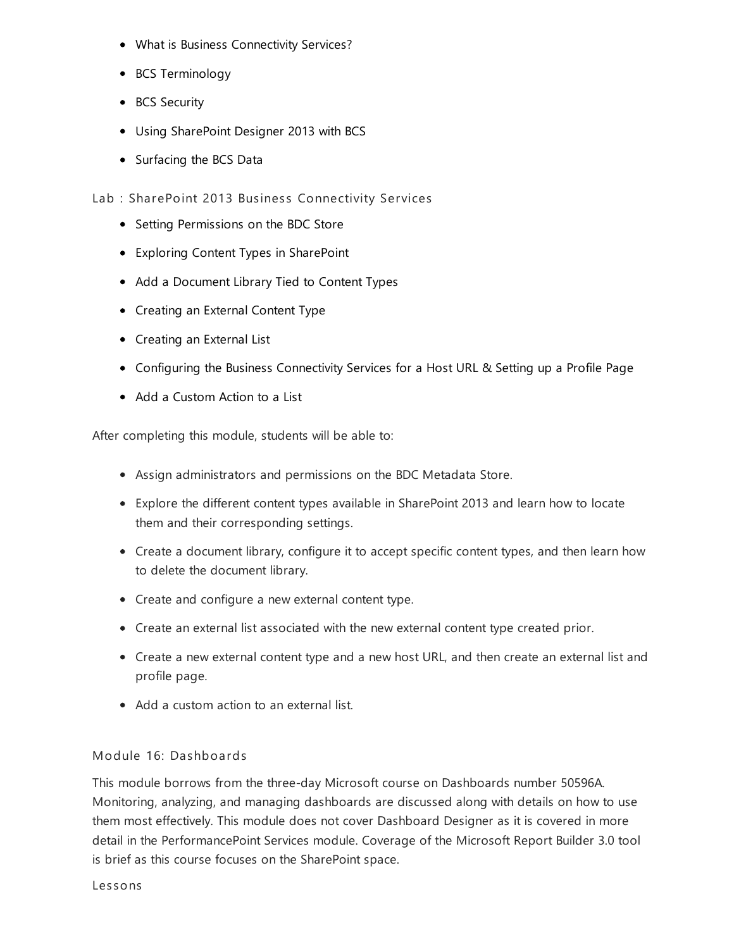- What is Business Connectivity Services?
- BCS Terminology
- BCS Security
- Using SharePoint Designer 2013 with BCS
- Surfacing the BCS Data
- Lab : SharePoint 2013 Business Connectivity Services
	- Setting Permissions on the BDC Store
	- Exploring Content Types in SharePoint
	- Add a Document Library Tied to Content Types
	- Creating an External Content Type
	- Creating an External List
	- Configuring the Business Connectivity Services for a Host URL & Setting up a Profile Page
	- Add a Custom Action to a List

After completing this module, students will be able to:

- Assign administrators and permissions on the BDC Metadata Store.
- Explore the different content types available in SharePoint 2013 and learn how to locate them and their corresponding settings.
- Create a document library, configure it to accept specific content types, and then learn how to delete the document library.
- Create and configure a new external content type.
- Create an external list associated with the new external content type created prior.
- Create a new external content type and a new host URL, and then create an external list and profile page.
- Add a custom action to an external list.

#### Module 16: Dashboards

This module borrows from the three-day Microsoft course on Dashboards number 50596A. Monitoring, analyzing, and managing dashboards are discussed along with details on how to use them most effectively. This module does not cover Dashboard Designer as it is covered in more detail in the PerformancePoint Services module. Coverage of the Microsoft Report Builder 3.0 tool is brief as this course focuses on the SharePoint space.

Les sons